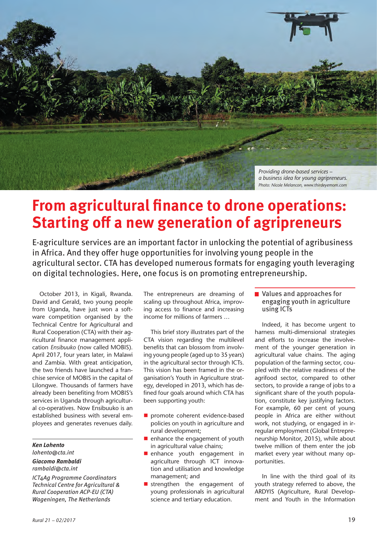

## **From agricultural finance to drone operations: Starting off a new generation of agripreneurs**

E-agriculture services are an important factor in unlocking the potential of agribusiness in Africa. And they offer huge opportunities for involving young people in the agricultural sector. CTA has developed numerous formats for engaging youth leveraging on digital technologies. Here, one focus is on promoting entrepreneurship.

October 2013, in Kigali, Rwanda. David and Gerald, two young people from Uganda, have just won a software competition organised by the Technical Centre for Agricultural and Rural Cooperation (CTA) with their agricultural finance management application *Ensibuuko* (now called MOBIS). April 2017, four years later, in Malawi and Zambia. With great anticipation, the two friends have launched a franchise service of MOBIS in the capital of Lilongwe. Thousands of farmers have already been benefiting from MOBIS's services in Uganda through agricultural co-operatives. Now Ensibuuko is an established business with several employees and generates revenues daily.

#### *Ken Lohento lohento@cta.int*

### *Giacomo Rambaldi*

*rambaldi@cta.int*

*ICT4Ag Programme Coordinators Technical Centre for Agricultural & Rural Cooperation ACP-EU (CTA) Wageningen, The Netherlands*

The entrepreneurs are dreaming of scaling up throughout Africa, improving access to finance and increasing income for millions of farmers …

This brief story illustrates part of the CTA vision regarding the multilevel benefits that can blossom from involving young people (aged up to 35 years) in the agricultural sector through ICTs. This vision has been framed in the organisation's Youth in Agriculture strategy, developed in 2013, which has defined four goals around which CTA has been supporting youth:

- promote coherent evidence-based policies on youth in agriculture and rural development;
- $\blacksquare$  enhance the engagement of youth in agricultural value chains;
- enhance youth engagement in agriculture through ICT innovation and utilisation and knowledge management; and
- strengthen the engagement of young professionals in agricultural science and tertiary education.

### ■ Values and approaches for engaging youth in agriculture using ICTs

Indeed, it has become urgent to harness multi-dimensional strategies and efforts to increase the involvement of the younger generation in agricultural value chains. The aging population of the farming sector, coupled with the relative readiness of the agrifood sector, compared to other sectors, to provide a range of jobs to a significant share of the youth population, constitute key justifying factors. For example, 60 per cent of young people in Africa are either without work, not studying, or engaged in irregular employment (Global Entrepreneurship Monitor, 2015), while about twelve million of them enter the job market every year without many opportunities.

In line with the third goal of its youth strategy referred to above, the ARDYIS (Agriculture, Rural Development and Youth in the Information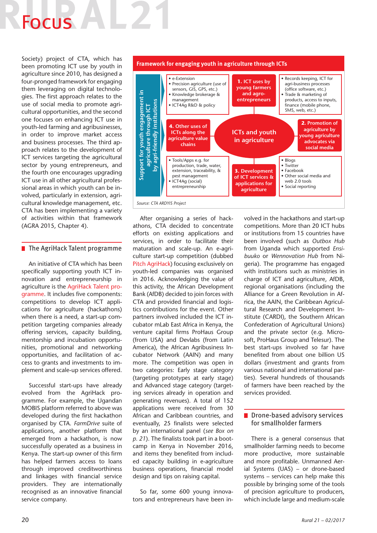# Focus **Follow**

Society) project of CTA, which has been promoting ICT use by youth in agriculture since 2010, has designed a four-pronged framework for engaging them leveraging on digital technologies. The first approach relates to the use of social media to promote agricultural opportunities, and the second one focuses on enhancing ICT use in youth-led farming and agribusinesses, in order to improve market access and business processes. The third approach relates to the development of ICT services targeting the agricultural sector by young entrepreneurs, and the fourth one encourages upgrading ICT use in all other agricultural professional areas in which youth can be involved, particularly in extension, agricultural knowledge management, etc. CTA has been implementing a variety of activities within that framework (AGRA 2015, Chapter 4).

### **■ The AgriHack Talent programme**

An initiative of CTA which has been specifically supporting youth ICT innovation and entrepreneurship in agriculture is the AgriHack Talent programme. It includes five components: competitions to develop ICT applications for agriculture (hackathons) when there is a need, a start-up competition targeting companies already offering services, capacity building, mentorship and incubation opportunities, promotional and networking opportunities, and facilitation of access to grants and investments to implement and scale-up services offered.

Successful start-ups have already evolved from the AgriHack programme. For example, the Ugandan MOBIS platform referred to above was developed during the first hackathon organised by CTA. *FarmDrive* suite of applications, another platform that emerged from a hackathon, is now successfully operated as a business in Kenya. The start-up owner of this firm has helped farmers access to loans through improved creditworthiness and linkages with financial service providers. They are internationally recognised as an innovative financial service company.



After organising a series of hackathons, CTA decided to concentrate efforts on existing applications and services, in order to facilitate their maturation and scale-up. An e-agriculture start-up competition (dubbed Pitch AgriHack) focusing exclusively on youth-led companies was organised in 2016. Acknowledging the value of this activity, the African Development Bank (AfDB) decided to join forces with CTA and provided financial and logistics contributions for the event. Other partners involved included the ICT incubator mLab East Africa in Kenya, the venture capital firms ProHaus Group (from USA) and Devlabs (from Latin America), the African Agribusiness Incubator Network (AAIN) and many more. The competition was open in two categories: Early stage category (targeting prototypes at early stage) and Advanced stage category (targeting services already in operation and generating revenues). A total of 152 applications were received from 30 African and Caribbean countries, and eventually, 25 finalists were selected by an international panel (*see Box on p. 21*). The finalists took part in a bootcamp in Kenya in November 2016, and items they benefited from included capacity building in e-agriculture business operations, financial model design and tips on raising capital.

So far, some 600 young innovators and entrepreneurs have been involved in the hackathons and start-up competitions. More than 20 ICT hubs or institutions from 15 countries have been involved (such as *Outbox Hub* from Uganda which supported *Ensibuuko* or *Wennovation Hub* from Nigeria). The programme has engaged with institutions such as ministries in charge of ICT and agriculture, AfDB, regional organisations (including the Alliance for a Green Revolution in Africa, the AAIN, the Caribbean Agricultural Research and Development Institute (CARDI), the Southern African Confederation of Agricultural Unions) and the private sector (e.g. Microsoft, ProHaus Group and Telesur). The best start-ups involved so far have benefited from about one billion US dollars (investment and grants from various national and international parties). Several hundreds of thousands of farmers have been reached by the services provided.

### **Drone-based advisory services** for smallholder farmers

There is a general consensus that smallholder farming needs to become more productive, more sustainable and more profitable. Unmanned Aerial Systems (UAS) – or drone-based systems – services can help make this possible by bringing some of the tools of precision agriculture to producers, which include large and medium-scale